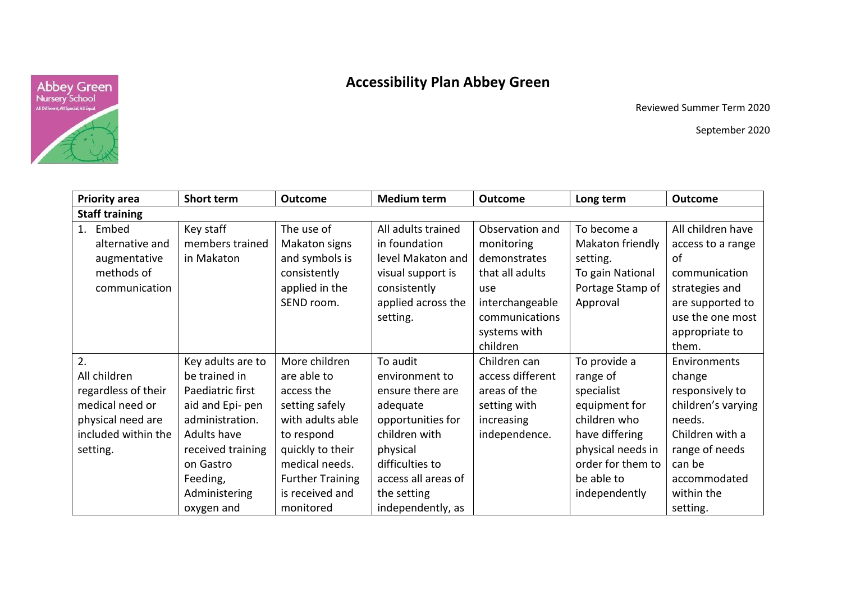

## **Accessibility Plan Abbey Green**

Reviewed Summer Term 2020

September 2020

| <b>Priority area</b>  | Short term        | <b>Outcome</b>          | <b>Medium term</b>  | <b>Outcome</b>   | Long term         | <b>Outcome</b>     |  |
|-----------------------|-------------------|-------------------------|---------------------|------------------|-------------------|--------------------|--|
| <b>Staff training</b> |                   |                         |                     |                  |                   |                    |  |
| 1. Embed              | Key staff         | The use of              | All adults trained  | Observation and  | To become a       | All children have  |  |
| alternative and       | members trained   | Makaton signs           | in foundation       | monitoring       | Makaton friendly  | access to a range  |  |
| augmentative          | in Makaton        | and symbols is          | level Makaton and   | demonstrates     | setting.          | οf                 |  |
| methods of            |                   | consistently            | visual support is   | that all adults  | To gain National  | communication      |  |
| communication         |                   | applied in the          | consistently        | use              | Portage Stamp of  | strategies and     |  |
|                       |                   | SEND room.              | applied across the  | interchangeable  | Approval          | are supported to   |  |
|                       |                   |                         | setting.            | communications   |                   | use the one most   |  |
|                       |                   |                         |                     | systems with     |                   | appropriate to     |  |
|                       |                   |                         |                     | children         |                   | them.              |  |
| 2.                    | Key adults are to | More children           | To audit            | Children can     | To provide a      | Environments       |  |
| All children          | be trained in     | are able to             | environment to      | access different | range of          | change             |  |
| regardless of their   | Paediatric first  | access the              | ensure there are    | areas of the     | specialist        | responsively to    |  |
| medical need or       | aid and Epi- pen  | setting safely          | adequate            | setting with     | equipment for     | children's varying |  |
| physical need are     | administration.   | with adults able        | opportunities for   | increasing       | children who      | needs.             |  |
| included within the   | Adults have       | to respond              | children with       | independence.    | have differing    | Children with a    |  |
| setting.              | received training | quickly to their        | physical            |                  | physical needs in | range of needs     |  |
|                       | on Gastro         | medical needs.          | difficulties to     |                  | order for them to | can be             |  |
|                       | Feeding,          | <b>Further Training</b> | access all areas of |                  | be able to        | accommodated       |  |
|                       | Administering     | is received and         | the setting         |                  | independently     | within the         |  |
|                       | oxygen and        | monitored               | independently, as   |                  |                   | setting.           |  |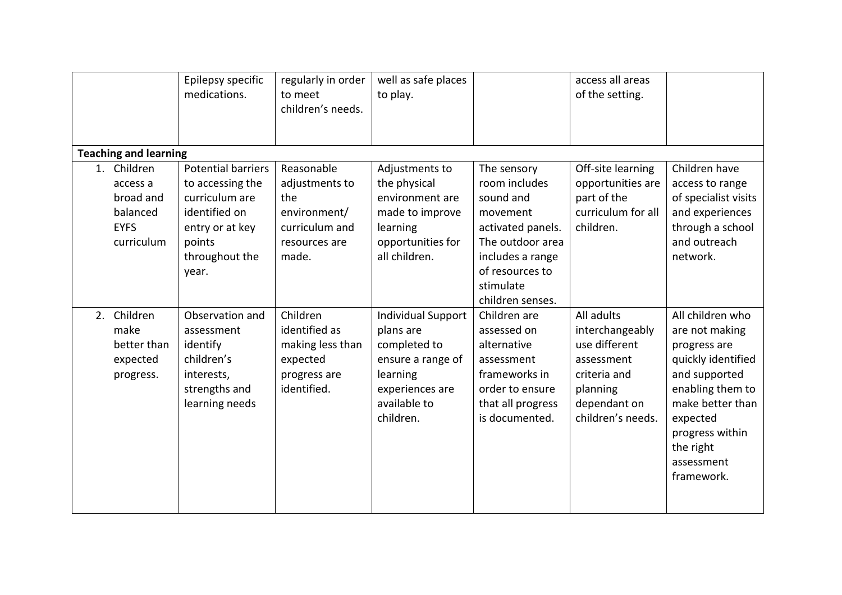|                                                                               | Epilepsy specific<br>medications.                                                                                                 | regularly in order<br>to meet<br>children's needs.                                              | well as safe places<br>to play.                                                                                                         |                                                                                                                                                                        | access all areas<br>of the setting.                                                                                           |                                                                                                                                                                                                           |  |  |
|-------------------------------------------------------------------------------|-----------------------------------------------------------------------------------------------------------------------------------|-------------------------------------------------------------------------------------------------|-----------------------------------------------------------------------------------------------------------------------------------------|------------------------------------------------------------------------------------------------------------------------------------------------------------------------|-------------------------------------------------------------------------------------------------------------------------------|-----------------------------------------------------------------------------------------------------------------------------------------------------------------------------------------------------------|--|--|
| <b>Teaching and learning</b>                                                  |                                                                                                                                   |                                                                                                 |                                                                                                                                         |                                                                                                                                                                        |                                                                                                                               |                                                                                                                                                                                                           |  |  |
| 1. Children<br>access a<br>broad and<br>balanced<br><b>EYFS</b><br>curriculum | Potential barriers<br>to accessing the<br>curriculum are<br>identified on<br>entry or at key<br>points<br>throughout the<br>year. | Reasonable<br>adjustments to<br>the<br>environment/<br>curriculum and<br>resources are<br>made. | Adjustments to<br>the physical<br>environment are<br>made to improve<br>learning<br>opportunities for<br>all children.                  | The sensory<br>room includes<br>sound and<br>movement<br>activated panels.<br>The outdoor area<br>includes a range<br>of resources to<br>stimulate<br>children senses. | Off-site learning<br>opportunities are<br>part of the<br>curriculum for all<br>children.                                      | Children have<br>access to range<br>of specialist visits<br>and experiences<br>through a school<br>and outreach<br>network.                                                                               |  |  |
| 2. Children<br>make<br>better than<br>expected<br>progress.                   | Observation and<br>assessment<br>identify<br>children's<br>interests,<br>strengths and<br>learning needs                          | Children<br>identified as<br>making less than<br>expected<br>progress are<br>identified.        | <b>Individual Support</b><br>plans are<br>completed to<br>ensure a range of<br>learning<br>experiences are<br>available to<br>children. | Children are<br>assessed on<br>alternative<br>assessment<br>frameworks in<br>order to ensure<br>that all progress<br>is documented.                                    | All adults<br>interchangeably<br>use different<br>assessment<br>criteria and<br>planning<br>dependant on<br>children's needs. | All children who<br>are not making<br>progress are<br>quickly identified<br>and supported<br>enabling them to<br>make better than<br>expected<br>progress within<br>the right<br>assessment<br>framework. |  |  |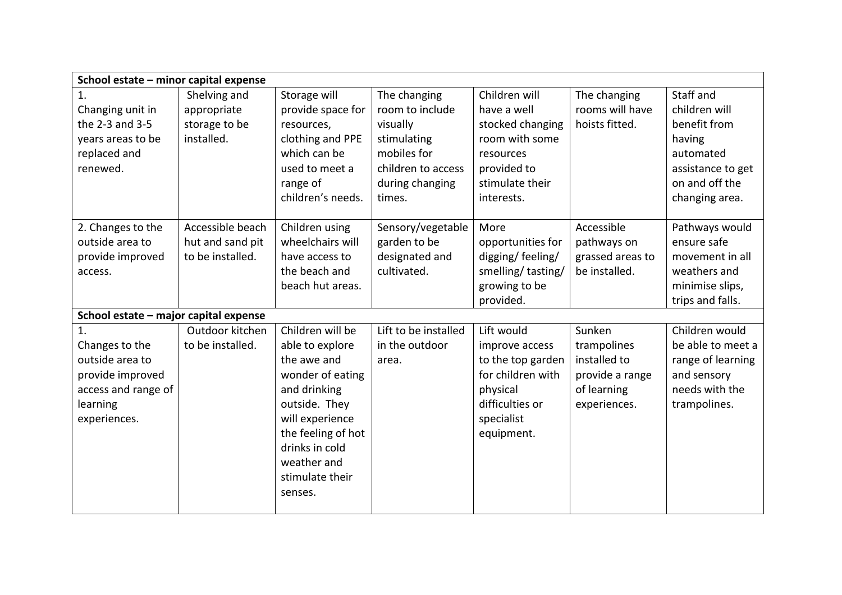| School estate - minor capital expense |                  |                    |                      |                   |                  |                   |
|---------------------------------------|------------------|--------------------|----------------------|-------------------|------------------|-------------------|
| 1.                                    | Shelving and     | Storage will       | The changing         | Children will     | The changing     | Staff and         |
| Changing unit in                      | appropriate      | provide space for  | room to include      | have a well       | rooms will have  | children will     |
| the 2-3 and 3-5                       | storage to be    | resources,         | visually             | stocked changing  | hoists fitted.   | benefit from      |
| years areas to be                     | installed.       | clothing and PPE   | stimulating          | room with some    |                  | having            |
| replaced and                          |                  | which can be       | mobiles for          | resources         |                  | automated         |
| renewed.                              |                  | used to meet a     | children to access   | provided to       |                  | assistance to get |
|                                       |                  | range of           | during changing      | stimulate their   |                  | on and off the    |
|                                       |                  | children's needs.  | times.               | interests.        |                  | changing area.    |
|                                       |                  |                    |                      |                   |                  |                   |
| 2. Changes to the                     | Accessible beach | Children using     | Sensory/vegetable    | More              | Accessible       | Pathways would    |
| outside area to                       | hut and sand pit | wheelchairs will   | garden to be         | opportunities for | pathways on      | ensure safe       |
| provide improved                      | to be installed. | have access to     | designated and       | digging/feeling/  | grassed areas to | movement in all   |
| access.                               |                  | the beach and      | cultivated.          | smelling/tasting/ | be installed.    | weathers and      |
|                                       |                  | beach hut areas.   |                      | growing to be     |                  | minimise slips,   |
|                                       |                  |                    |                      | provided.         |                  | trips and falls.  |
| School estate - major capital expense |                  |                    |                      |                   |                  |                   |
| 1.                                    | Outdoor kitchen  | Children will be   | Lift to be installed | Lift would        | Sunken           | Children would    |
| Changes to the                        | to be installed. | able to explore    | in the outdoor       | improve access    | trampolines      | be able to meet a |
| outside area to                       |                  | the awe and        | area.                | to the top garden | installed to     | range of learning |
| provide improved                      |                  | wonder of eating   |                      | for children with | provide a range  | and sensory       |
| access and range of                   |                  | and drinking       |                      | physical          | of learning      | needs with the    |
| learning                              |                  | outside. They      |                      | difficulties or   | experiences.     | trampolines.      |
| experiences.                          |                  | will experience    |                      | specialist        |                  |                   |
|                                       |                  | the feeling of hot |                      | equipment.        |                  |                   |
|                                       |                  | drinks in cold     |                      |                   |                  |                   |
|                                       |                  | weather and        |                      |                   |                  |                   |
|                                       |                  | stimulate their    |                      |                   |                  |                   |
|                                       |                  | senses.            |                      |                   |                  |                   |
|                                       |                  |                    |                      |                   |                  |                   |